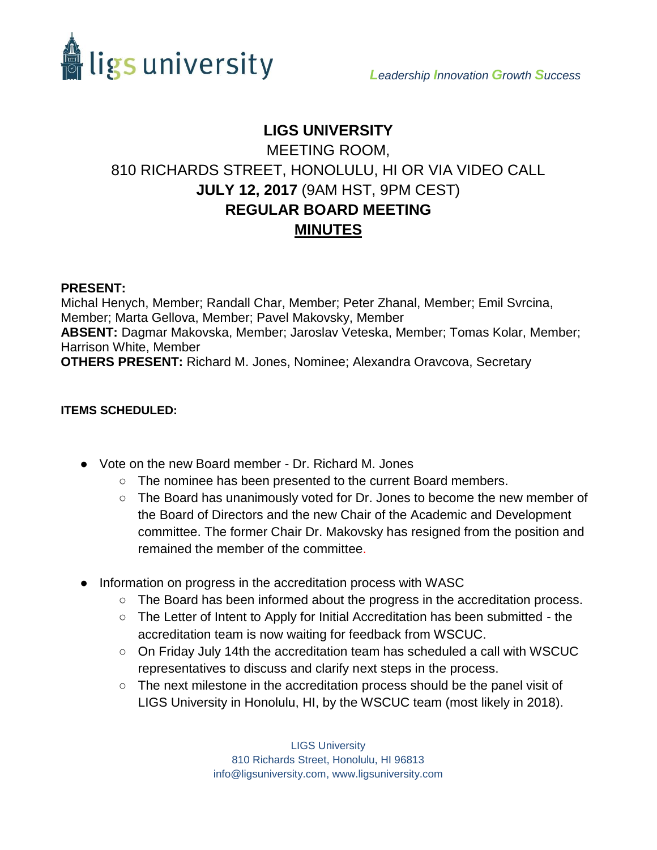

# **LIGS UNIVERSITY** MEETING ROOM, 810 RICHARDS STREET, HONOLULU, HI OR VIA VIDEO CALL **JULY 12, 2017** (9AM HST, 9PM CEST) **REGULAR BOARD MEETING MINUTES**

### **PRESENT:**

Michal Henych, Member; Randall Char, Member; Peter Zhanal, Member; Emil Svrcina, Member; Marta Gellova, Member; Pavel Makovsky, Member **ABSENT:** Dagmar Makovska, Member; Jaroslav Veteska, Member; Tomas Kolar, Member; Harrison White, Member **OTHERS PRESENT:** Richard M. Jones, Nominee; Alexandra Oravcova, Secretary

### **ITEMS SCHEDULED:**

- Vote on the new Board member Dr. Richard M. Jones
	- The nominee has been presented to the current Board members.
	- The Board has unanimously voted for Dr. Jones to become the new member of the Board of Directors and the new Chair of the Academic and Development committee. The former Chair Dr. Makovsky has resigned from the position and remained the member of the committee.
- Information on progress in the accreditation process with WASC
	- The Board has been informed about the progress in the accreditation process.
	- The Letter of Intent to Apply for Initial Accreditation has been submitted the accreditation team is now waiting for feedback from WSCUC.
	- $\circ$  On Friday July 14th the accreditation team has scheduled a call with WSCUC representatives to discuss and clarify next steps in the process.
	- The next milestone in the accreditation process should be the panel visit of LIGS University in Honolulu, HI, by the WSCUC team (most likely in 2018).

LIGS University 810 Richards Street, Honolulu, HI 96813 info@ligsuniversity.com, www.ligsuniversity.com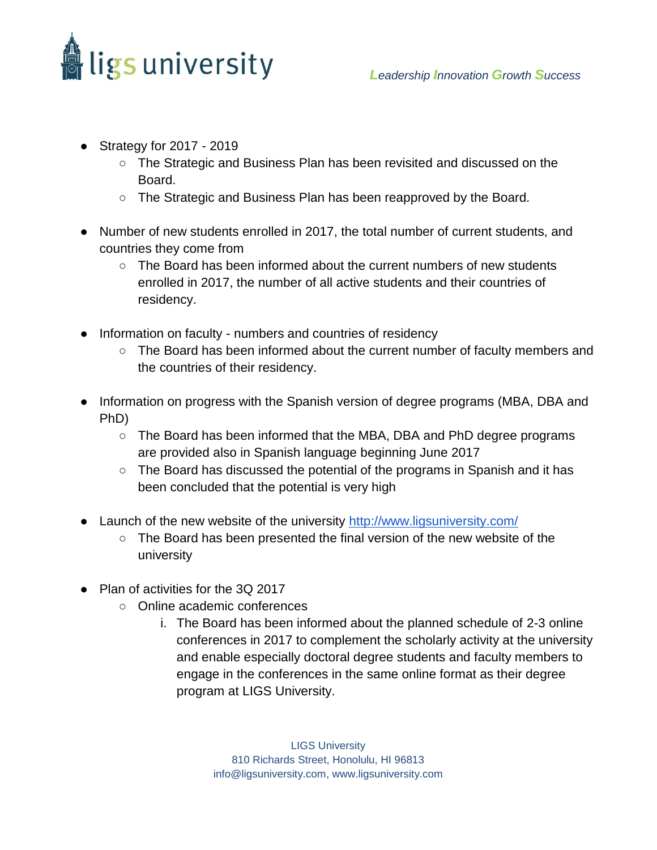

- Strategy for 2017 2019
	- The Strategic and Business Plan has been revisited and discussed on the Board.
	- The Strategic and Business Plan has been reapproved by the Board.
- Number of new students enrolled in 2017, the total number of current students, and countries they come from
	- The Board has been informed about the current numbers of new students enrolled in 2017, the number of all active students and their countries of residency.
- Information on faculty numbers and countries of residency
	- The Board has been informed about the current number of faculty members and the countries of their residency.
- Information on progress with the Spanish version of degree programs (MBA, DBA and PhD)
	- The Board has been informed that the MBA, DBA and PhD degree programs are provided also in Spanish language beginning June 2017
	- The Board has discussed the potential of the programs in Spanish and it has been concluded that the potential is very high
- Launch of the new website of the university<http://www.ligsuniversity.com/>
	- The Board has been presented the final version of the new website of the university
- Plan of activities for the 3Q 2017
	- Online academic conferences
		- i. The Board has been informed about the planned schedule of 2-3 online conferences in 2017 to complement the scholarly activity at the university and enable especially doctoral degree students and faculty members to engage in the conferences in the same online format as their degree program at LIGS University.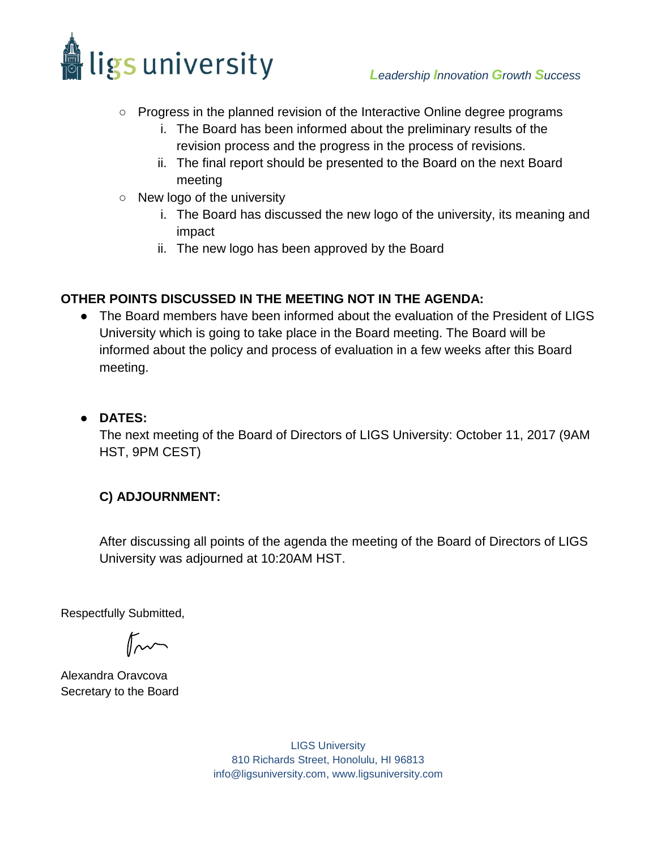

- Progress in the planned revision of the Interactive Online degree programs
	- i. The Board has been informed about the preliminary results of the revision process and the progress in the process of revisions.
	- ii. The final report should be presented to the Board on the next Board meeting
- New logo of the university
	- i. The Board has discussed the new logo of the university, its meaning and impact
	- ii. The new logo has been approved by the Board

# **OTHER POINTS DISCUSSED IN THE MEETING NOT IN THE AGENDA:**

- The Board members have been informed about the evaluation of the President of LIGS University which is going to take place in the Board meeting. The Board will be informed about the policy and process of evaluation in a few weeks after this Board meeting.
- **DATES:**

The next meeting of the Board of Directors of LIGS University: October 11, 2017 (9AM HST, 9PM CEST)

# **C) ADJOURNMENT:**

After discussing all points of the agenda the meeting of the Board of Directors of LIGS University was adjourned at 10:20AM HST.

[Respectfully Submitted,](https://ligsuniversity.na1.echosign.com/verifier?tx=CBJCHBCAABAAt3abDzuePIo7_daXRZD3CFfU5fnhHJe5)

 $\mathbb{R}$ 

Alexandra Oravcova Secretary to the Board

LIGS University 810 Richards Street, Honolulu, HI 96813 info@ligsuniversity.com, www.ligsuniversity.com